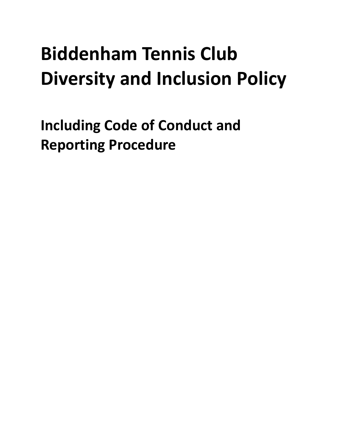# **Biddenham Tennis Club Diversity and Inclusion Policy**

<span id="page-0-0"></span>**Including Code of Conduct and Reporting Procedure**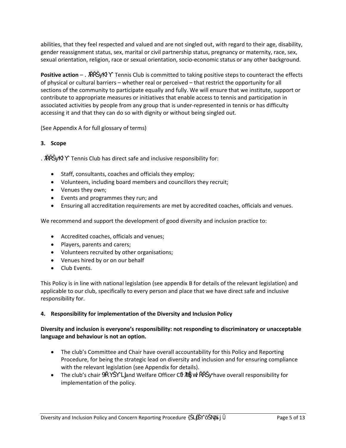abilities, that they feel respected and valued and are not singled out, with regard to their age, disability, gender reassignment status, sex, marital or civil partnership status, pregnancy or maternity, race, sex, sexual orientation, religion, race or sexual orientation, socio-economic status or any other background.

**Positive action** – " Tennis Club is committed to taking positive steps to counteract the effects of physical or cultural barriers – whether real or perceived – that restrict the opportunity for all sections of the community to participate equally and fully. We will ensure that we institute, support or contribute to appropriate measures or initiatives that enable access to tennis and participation in associated activities by people from any group that is under-represented in tennis or has difficulty accessing it and that they can do so with dignity or without being singled out.

(See Appendix A for full glossary of terms)

# **3. Scope**

- Tennis Club has direct safe and inclusive responsibility for:
- Staff, consultants, coaches and officials they employ;
- Volunteers, including board members and councillors they recruit;
- Venues they own;
- Events and programmes they run; and
- Ensuring all accreditation requirements are met by accredited coaches, officials and venues.

We recommend and support the development of good diversity and inclusion practice to:

- Accredited coaches, officials and venues;
- Players, parents and carers;
- Volunteers recruited by other organisations;
- Venues hired by or on our behalf
- Club Events.

This Policy is in line with national legislation (see appendix B for details of the relevant legislation) and applicable to our club, specifically to every person and place that we have direct safe and inclusive responsibility for.

#### **4. Responsibility for implementation of the Diversity and Inclusion Policy**

# **Diversity and inclusion is everyone's responsibility: not responding to discriminatory or unacceptable language and behaviour is not an option.**

- The club's Committee and Chair have overall accountability for this Policy and Reporting Procedure, for being the strategic lead on diversity and inclusion and for ensuring compliance with the relevant legislation (see Appendix for details).
- The club's chair  $\dot{M}$  and Welfare Officer C  $\dot{K}$  have overall responsibility for implementation of the policy.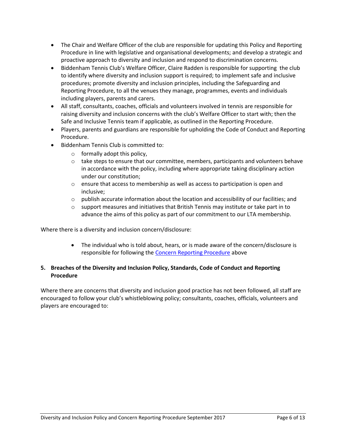- The Chair and Welfare Officer of the club are responsible for updating this Policy and Reporting Procedure in line with legislative and organisational developments; and develop a strategic and proactive approach to diversity and inclusion and respond to discrimination concerns.
- Biddenham Tennis Club's Welfare Officer, Claire Radden is responsible for supporting the club to identify where diversity and inclusion support is required; to implement safe and inclusive procedures; promote diversity and inclusion principles, including the Safeguarding and Reporting Procedure, to all the venues they manage, programmes, events and individuals including players, parents and carers.
- All staff, consultants, coaches, officials and volunteers involved in tennis are responsible for raising diversity and inclusion concerns with the club's Welfare Officer to start with; then the Safe and Inclusive Tennis team if applicable, as outlined in the Reporting Procedure.
- Players, parents and guardians are responsible for upholding the Code of Conduct and Reporting Procedure.
- Biddenham Tennis Club is committed to:
	- $\circ$  formally adopt this policy.
	- $\circ$  take steps to ensure that our committee, members, participants and volunteers behave in accordance with the policy, including where appropriate taking disciplinary action under our constitution;
	- o ensure that access to membership as well as access to participation is open and inclusive;
	- $\circ$  publish accurate information about the location and accessibility of our facilities; and
	- $\circ$  support measures and initiatives that British Tennis may institute or take part in to advance the aims of this policy as part of our commitment to our LTA membership.

Where there is a diversity and inclusion concern/disclosure:

 The individual who is told about, hears, or is made aware of the concern/disclosure is responsible for following the [Concern Reporting Procedure a](#page-0-0)bove

# **5. Breaches of the Diversity and Inclusion Policy, Standards, Code of Conduct and Reporting Procedure**

Where there are concerns that diversity and inclusion good practice has not been followed, all staff are encouraged to follow your club's whistleblowing policy; consultants, coaches, officials, volunteers and players are encouraged to: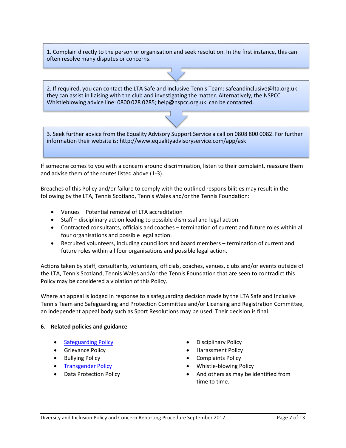1. Complain directly to the person or organisation and seek resolution. In the first instance, this can often resolve many disputes or concerns.

2. If required, you can contact the LTA Safe and Inclusive Tennis Team: safeandinclusive@lta.org.uk they can assist in liaising with the club and investigating the matter. Alternatively, the NSPCC Whistleblowing advice line: 0800 028 0285; help@nspcc.org.uk can be contacted.

3. Seek further advice from the Equality Advisory Support Service a call on 0808 800 0082. For further information their website is: http://www.equalityadvisoryservice.com/app/ask

If someone comes to you with a concern around discrimination, listen to their complaint, reassure them and advise them of the routes listed above (1-3).

Breaches of this Policy and/or failure to comply with the outlined responsibilities may result in the following by the LTA, Tennis Scotland, Tennis Wales and/or the Tennis Foundation:

- Venues Potential removal of LTA accreditation
- Staff disciplinary action leading to possible dismissal and legal action.
- Contracted consultants, officials and coaches termination of current and future roles within all four organisations and possible legal action.
- Recruited volunteers, including councillors and board members termination of current and future roles within all four organisations and possible legal action.

Actions taken by staff, consultants, volunteers, officials, coaches, venues, clubs and/or events outside of the LTA, Tennis Scotland, Tennis Wales and/or the Tennis Foundation that are seen to contradict this Policy may be considered a violation of this Policy.

Where an appeal is lodged in response to a safeguarding decision made by the LTA Safe and Inclusive Tennis Team and Safeguarding and Protection Committee and/or Licensing and Registration Committee, an independent appeal body such as Sport Resolutions may be used. Their decision is final.

#### **6. Related policies and guidance**

- 
- 
- 
- 
- 
- [Safeguarding Policy](https://www.lta.org.uk/globalassets/about-lta/safeguarding/british-tennis-safeguarding-policy.pdf) **Disciplinary Policy**
- Grievance Policy **Example 2018** 1 Contract Policy
- Bullying Policy **Complaints Policy** 
	- [Transgender Policy](https://www.lta.org.uk/about-the-lta/policies-and-rules/transgender-policy/) Whistle-blowing Policy
	- Data Protection Policy **And Others** as may be identified from time to time.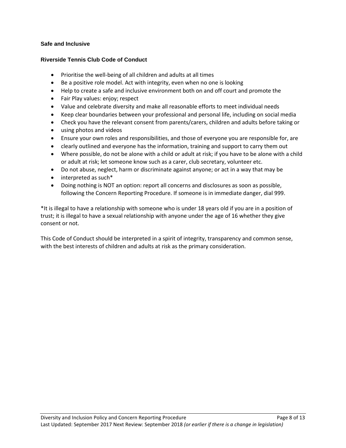# **Safe and Inclusive**

#### **Riverside Tennis Club Code of Conduct**

- Prioritise the well-being of all children and adults at all times
- Be a positive role model. Act with integrity, even when no one is looking
- Help to create a safe and inclusive environment both on and off court and promote the
- Fair Play values: enjoy; respect
- Value and celebrate diversity and make all reasonable efforts to meet individual needs
- Keep clear boundaries between your professional and personal life, including on social media
- Check you have the relevant consent from parents/carers, children and adults before taking or
- using photos and videos
- Ensure your own roles and responsibilities, and those of everyone you are responsible for, are
- clearly outlined and everyone has the information, training and support to carry them out
- Where possible, do not be alone with a child or adult at risk; if you have to be alone with a child or adult at risk; let someone know such as a carer, club secretary, volunteer etc.
- Do not abuse, neglect, harm or discriminate against anyone; or act in a way that may be
- interpreted as such\*
- Doing nothing is NOT an option: report all concerns and disclosures as soon as possible, following the Concern Reporting Procedure. If someone is in immediate danger, dial 999.

\*It is illegal to have a relationship with someone who is under 18 years old if you are in a position of trust; it is illegal to have a sexual relationship with anyone under the age of 16 whether they give consent or not.

This Code of Conduct should be interpreted in a spirit of integrity, transparency and common sense, with the best interests of children and adults at risk as the primary consideration.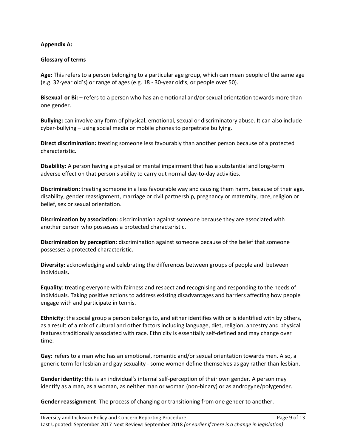# **Appendix A:**

#### **Glossary of terms**

**Age:** This refers to a person belonging to a particular age group, which can mean people of the same age (e.g. 32-year old's) or range of ages (e.g. 18 - 30-year old's, or people over 50).

**Bisexual or Bi:** – refers to a person who has an emotional and/or sexual orientation towards more than one gender.

**Bullying:** can involve any form of physical, emotional, sexual or discriminatory abuse. It can also include cyber-bullying – using social media or mobile phones to perpetrate bullying.

**Direct discrimination:** treating someone less favourably than another person because of a protected characteristic.

**Disability:** A person having a physical or mental impairment that has a substantial and long-term adverse effect on that person's ability to carry out normal day-to-day activities.

**Discrimination:** treating someone in a less favourable way and causing them harm, because of their age, disability, gender reassignment, marriage or civil partnership, pregnancy or maternity, race, religion or belief, sex or sexual orientation.

**Discrimination by association:** discrimination against someone because they are associated with another person who possesses a protected characteristic.

**Discrimination by perception:** discrimination against someone because of the belief that someone possesses a protected characteristic.

**Diversity:** acknowledging and celebrating the differences between groups of people and between individuals**.**

**Equality**: treating everyone with fairness and respect and recognising and responding to the needs of individuals. Taking positive actions to address existing disadvantages and barriers affecting how people engage with and participate in tennis.

**Ethnicity**: the social group a person belongs to, and either identifies with or is identified with by others, as a result of a mix of cultural and other factors including language, diet, religion, ancestry and physical features traditionally associated with race. Ethnicity is essentially self-defined and may change over time.

**Gay**: refers to a man who has an emotional, romantic and/or sexual orientation towards men. Also, a generic term for lesbian and gay sexuality - some women define themselves as gay rather than lesbian.

**Gender identity: t**his is an individual's internal self-perception of their own gender. A person may identify as a man, as a woman, as neither man or woman (non-binary) or as androgyne/polygender.

**Gender reassignment**: The process of changing or transitioning from one gender to another.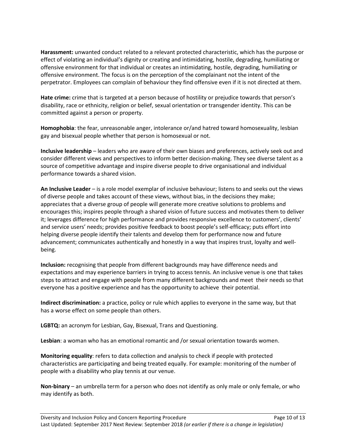**Harassment:** unwanted conduct related to a relevant protected characteristic, which has the purpose or effect of violating an individual's dignity or creating and intimidating, hostile, degrading, humiliating or offensive environment for that individual or creates an intimidating, hostile, degrading, humiliating or offensive environment. The focus is on the perception of the complainant not the intent of the perpetrator. Employees can complain of behaviour they find offensive even if it is not directed at them.

**Hate crime:** crime that is targeted at a person because of hostility or prejudice towards that person's disability, race or ethnicity, religion or belief, sexual orientation or transgender identity. This can be committed against a person or property.

**Homophobia**: the fear, unreasonable anger, intolerance or/and hatred toward homosexuality, lesbian gay and bisexual people whether that person is homosexual or not.

**Inclusive leadership** – leaders who are aware of their own biases and preferences, actively seek out and consider different views and perspectives to inform better decision-making. They see diverse talent as a source of competitive advantage and inspire diverse people to drive organisational and individual performance towards a shared vision.

**An Inclusive Leader** – is a role model exemplar of inclusive behaviour; listens to and seeks out the views of diverse people and takes account of these views, without bias, in the decisions they make; appreciates that a diverse group of people will generate more creative solutions to problems and encourages this; inspires people through a shared vision of future success and motivates them to deliver it; leverages difference for high performance and provides responsive excellence to customers', clients' and service users' needs; provides positive feedback to boost people's self-efficacy; puts effort into helping diverse people identify their talents and develop them for performance now and future advancement; communicates authentically and honestly in a way that inspires trust, loyalty and wellbeing.

**Inclusion:** recognising that people from different backgrounds may have difference needs and expectations and may experience barriers in trying to access tennis. An inclusive venue is one that takes steps to attract and engage with people from many different backgrounds and meet their needs so that everyone has a positive experience and has the opportunity to achieve their potential.

**Indirect discrimination:** a practice, policy or rule which applies to everyone in the same way, but that has a worse effect on some people than others.

**LGBTQ:** an acronym for Lesbian, Gay, Bisexual, Trans and Questioning.

**Lesbian**: a woman who has an emotional romantic and /or sexual orientation towards women.

**Monitoring equality**: refers to data collection and analysis to check if people with protected characteristics are participating and being treated equally. For example: monitoring of the number of people with a disability who play tennis at our venue.

**Non-binary** – an umbrella term for a person who does not identify as only male or only female, or who may identify as both.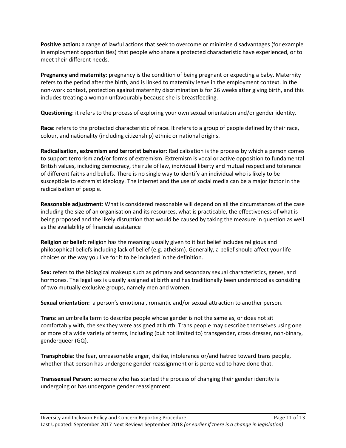**Positive action:** a range of lawful actions that seek to overcome or minimise disadvantages (for example in employment opportunities) that people who share a protected characteristic have experienced, or to meet their different needs.

**Pregnancy and maternity**: pregnancy is the condition of being pregnant or expecting a baby. Maternity refers to the period after the birth, and is linked to maternity leave in the employment context. In the non-work context, protection against maternity discrimination is for 26 weeks after giving birth, and this includes treating a woman unfavourably because she is breastfeeding.

**Questioning**: it refers to the process of exploring your own sexual orientation and/or gender identity.

**Race:** refers to the protected characteristic of race. It refers to a group of people defined by their race, colour, and nationality (including citizenship) ethnic or national origins.

**Radicalisation, extremism and terrorist behavior**: Radicalisation is the process by which a person comes to support terrorism and/or forms of extremism. Extremism is vocal or active opposition to fundamental British values, including democracy, the rule of law, individual liberty and mutual respect and tolerance of different faiths and beliefs. There is no single way to identify an individual who is likely to be susceptible to extremist ideology. The internet and the use of social media can be a major factor in the radicalisation of people.

**Reasonable adjustment**: What is considered reasonable will depend on all the circumstances of the case including the size of an organisation and its resources, what is practicable, the effectiveness of what is being proposed and the likely disruption that would be caused by taking the measure in question as well as the availability of financial assistance

**Religion or belief:** religion has the meaning usually given to it but belief includes religious and philosophical beliefs including lack of belief (e.g. atheism). Generally, a belief should affect your life choices or the way you live for it to be included in the definition.

**Sex:** refers to the biological makeup such as primary and secondary sexual characteristics, genes, and hormones. The legal sex is usually assigned at birth and has traditionally been understood as consisting of two mutually exclusive groups, namely men and women.

**Sexual orientation:** a person's emotional, romantic and/or sexual attraction to another person.

**Trans:** an umbrella term to describe people whose gender is not the same as, or does not sit comfortably with, the sex they were assigned at birth. Trans people may describe themselves using one or more of a wide variety of terms, including (but not limited to) transgender, cross dresser, non-binary, genderqueer (GQ).

**Transphobia**: the fear, unreasonable anger, dislike, intolerance or/and hatred toward trans people, whether that person has undergone gender reassignment or is perceived to have done that.

**Transsexual Person:** someone who has started the process of changing their gender identity is undergoing or has undergone gender reassignment.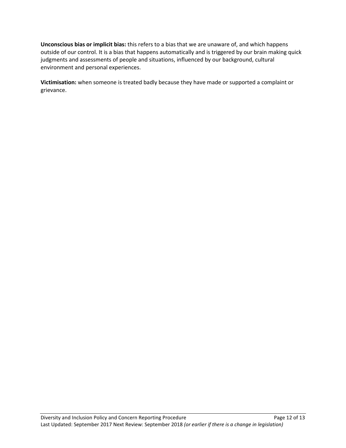**Unconscious bias or implicit bias:** this refers to a bias that we are unaware of, and which happens outside of our control. It is a bias that happens automatically and is triggered by our brain making quick judgments and assessments of people and situations, influenced by our background, cultural environment and personal experiences.

**Victimisation:** when someone is treated badly because they have made or supported a complaint or grievance.